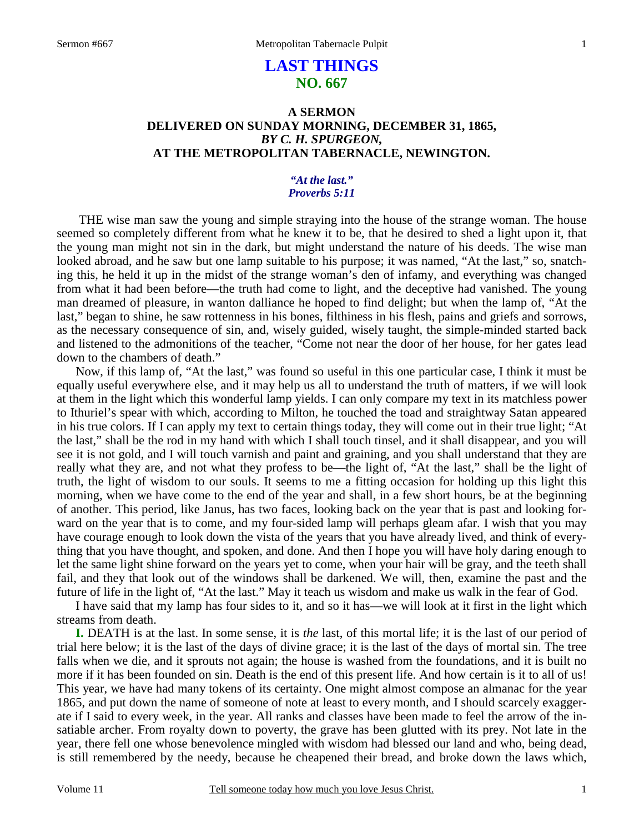## **LAST THINGS NO. 667**

### **A SERMON DELIVERED ON SUNDAY MORNING, DECEMBER 31, 1865,**  *BY C. H. SPURGEON,*  **AT THE METROPOLITAN TABERNACLE, NEWINGTON.**

### *"At the last." Proverbs 5:11*

THE wise man saw the young and simple straying into the house of the strange woman. The house seemed so completely different from what he knew it to be, that he desired to shed a light upon it, that the young man might not sin in the dark, but might understand the nature of his deeds. The wise man looked abroad, and he saw but one lamp suitable to his purpose; it was named, "At the last," so, snatching this, he held it up in the midst of the strange woman's den of infamy, and everything was changed from what it had been before—the truth had come to light, and the deceptive had vanished. The young man dreamed of pleasure, in wanton dalliance he hoped to find delight; but when the lamp of, "At the last," began to shine, he saw rottenness in his bones, filthiness in his flesh, pains and griefs and sorrows, as the necessary consequence of sin, and, wisely guided, wisely taught, the simple-minded started back and listened to the admonitions of the teacher, "Come not near the door of her house, for her gates lead down to the chambers of death."

 Now, if this lamp of, "At the last," was found so useful in this one particular case, I think it must be equally useful everywhere else, and it may help us all to understand the truth of matters, if we will look at them in the light which this wonderful lamp yields. I can only compare my text in its matchless power to Ithuriel's spear with which, according to Milton, he touched the toad and straightway Satan appeared in his true colors. If I can apply my text to certain things today, they will come out in their true light; "At the last," shall be the rod in my hand with which I shall touch tinsel, and it shall disappear, and you will see it is not gold, and I will touch varnish and paint and graining, and you shall understand that they are really what they are, and not what they profess to be—the light of, "At the last," shall be the light of truth, the light of wisdom to our souls. It seems to me a fitting occasion for holding up this light this morning, when we have come to the end of the year and shall, in a few short hours, be at the beginning of another. This period, like Janus, has two faces, looking back on the year that is past and looking forward on the year that is to come, and my four-sided lamp will perhaps gleam afar. I wish that you may have courage enough to look down the vista of the years that you have already lived, and think of everything that you have thought, and spoken, and done. And then I hope you will have holy daring enough to let the same light shine forward on the years yet to come, when your hair will be gray, and the teeth shall fail, and they that look out of the windows shall be darkened. We will, then, examine the past and the future of life in the light of, "At the last." May it teach us wisdom and make us walk in the fear of God.

 I have said that my lamp has four sides to it, and so it has—we will look at it first in the light which streams from death.

**I.** DEATH is at the last. In some sense, it is *the* last, of this mortal life; it is the last of our period of trial here below; it is the last of the days of divine grace; it is the last of the days of mortal sin. The tree falls when we die, and it sprouts not again; the house is washed from the foundations, and it is built no more if it has been founded on sin. Death is the end of this present life. And how certain is it to all of us! This year, we have had many tokens of its certainty. One might almost compose an almanac for the year 1865, and put down the name of someone of note at least to every month, and I should scarcely exaggerate if I said to every week, in the year. All ranks and classes have been made to feel the arrow of the insatiable archer. From royalty down to poverty, the grave has been glutted with its prey. Not late in the year, there fell one whose benevolence mingled with wisdom had blessed our land and who, being dead, is still remembered by the needy, because he cheapened their bread, and broke down the laws which,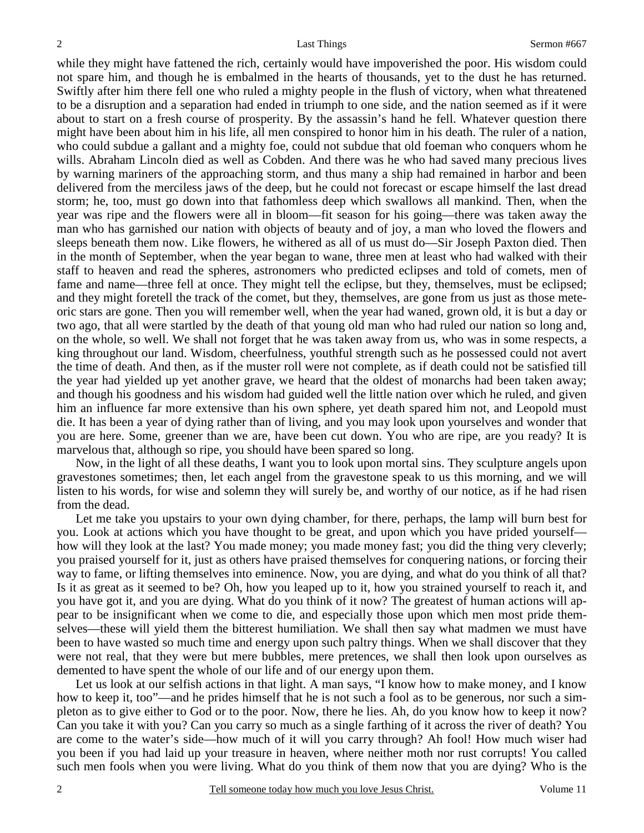while they might have fattened the rich, certainly would have impoverished the poor. His wisdom could not spare him, and though he is embalmed in the hearts of thousands, yet to the dust he has returned. Swiftly after him there fell one who ruled a mighty people in the flush of victory, when what threatened to be a disruption and a separation had ended in triumph to one side, and the nation seemed as if it were about to start on a fresh course of prosperity. By the assassin's hand he fell. Whatever question there might have been about him in his life, all men conspired to honor him in his death. The ruler of a nation, who could subdue a gallant and a mighty foe, could not subdue that old foeman who conquers whom he wills. Abraham Lincoln died as well as Cobden. And there was he who had saved many precious lives by warning mariners of the approaching storm, and thus many a ship had remained in harbor and been delivered from the merciless jaws of the deep, but he could not forecast or escape himself the last dread storm; he, too, must go down into that fathomless deep which swallows all mankind. Then, when the year was ripe and the flowers were all in bloom—fit season for his going—there was taken away the man who has garnished our nation with objects of beauty and of joy, a man who loved the flowers and sleeps beneath them now. Like flowers, he withered as all of us must do—Sir Joseph Paxton died. Then in the month of September, when the year began to wane, three men at least who had walked with their staff to heaven and read the spheres, astronomers who predicted eclipses and told of comets, men of fame and name—three fell at once. They might tell the eclipse, but they, themselves, must be eclipsed; and they might foretell the track of the comet, but they, themselves, are gone from us just as those meteoric stars are gone. Then you will remember well, when the year had waned, grown old, it is but a day or two ago, that all were startled by the death of that young old man who had ruled our nation so long and, on the whole, so well. We shall not forget that he was taken away from us, who was in some respects, a king throughout our land. Wisdom, cheerfulness, youthful strength such as he possessed could not avert the time of death. And then, as if the muster roll were not complete, as if death could not be satisfied till the year had yielded up yet another grave, we heard that the oldest of monarchs had been taken away; and though his goodness and his wisdom had guided well the little nation over which he ruled, and given him an influence far more extensive than his own sphere, yet death spared him not, and Leopold must die. It has been a year of dying rather than of living, and you may look upon yourselves and wonder that you are here. Some, greener than we are, have been cut down. You who are ripe, are you ready? It is marvelous that, although so ripe, you should have been spared so long.

 Now, in the light of all these deaths, I want you to look upon mortal sins. They sculpture angels upon gravestones sometimes; then, let each angel from the gravestone speak to us this morning, and we will listen to his words, for wise and solemn they will surely be, and worthy of our notice, as if he had risen from the dead.

 Let me take you upstairs to your own dying chamber, for there, perhaps, the lamp will burn best for you. Look at actions which you have thought to be great, and upon which you have prided yourself how will they look at the last? You made money; you made money fast; you did the thing very cleverly; you praised yourself for it, just as others have praised themselves for conquering nations, or forcing their way to fame, or lifting themselves into eminence. Now, you are dying, and what do you think of all that? Is it as great as it seemed to be? Oh, how you leaped up to it, how you strained yourself to reach it, and you have got it, and you are dying. What do you think of it now? The greatest of human actions will appear to be insignificant when we come to die, and especially those upon which men most pride themselves—these will yield them the bitterest humiliation. We shall then say what madmen we must have been to have wasted so much time and energy upon such paltry things. When we shall discover that they were not real, that they were but mere bubbles, mere pretences, we shall then look upon ourselves as demented to have spent the whole of our life and of our energy upon them.

 Let us look at our selfish actions in that light. A man says, "I know how to make money, and I know how to keep it, too"—and he prides himself that he is not such a fool as to be generous, nor such a simpleton as to give either to God or to the poor. Now, there he lies. Ah, do you know how to keep it now? Can you take it with you? Can you carry so much as a single farthing of it across the river of death? You are come to the water's side—how much of it will you carry through? Ah fool! How much wiser had you been if you had laid up your treasure in heaven, where neither moth nor rust corrupts! You called such men fools when you were living. What do you think of them now that you are dying? Who is the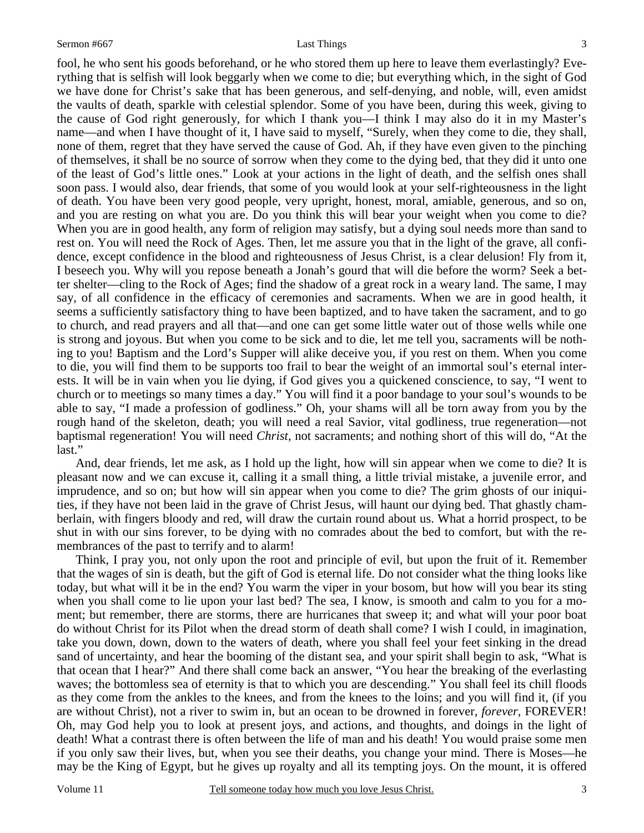fool, he who sent his goods beforehand, or he who stored them up here to leave them everlastingly? Everything that is selfish will look beggarly when we come to die; but everything which, in the sight of God we have done for Christ's sake that has been generous, and self-denying, and noble, will, even amidst the vaults of death, sparkle with celestial splendor. Some of you have been, during this week, giving to the cause of God right generously, for which I thank you—I think I may also do it in my Master's name—and when I have thought of it, I have said to myself, "Surely, when they come to die, they shall, none of them, regret that they have served the cause of God. Ah, if they have even given to the pinching of themselves, it shall be no source of sorrow when they come to the dying bed, that they did it unto one of the least of God's little ones." Look at your actions in the light of death, and the selfish ones shall soon pass. I would also, dear friends, that some of you would look at your self-righteousness in the light of death. You have been very good people, very upright, honest, moral, amiable, generous, and so on, and you are resting on what you are. Do you think this will bear your weight when you come to die? When you are in good health, any form of religion may satisfy, but a dying soul needs more than sand to rest on. You will need the Rock of Ages. Then, let me assure you that in the light of the grave, all confidence, except confidence in the blood and righteousness of Jesus Christ, is a clear delusion! Fly from it, I beseech you. Why will you repose beneath a Jonah's gourd that will die before the worm? Seek a better shelter—cling to the Rock of Ages; find the shadow of a great rock in a weary land. The same, I may say, of all confidence in the efficacy of ceremonies and sacraments. When we are in good health, it seems a sufficiently satisfactory thing to have been baptized, and to have taken the sacrament, and to go to church, and read prayers and all that—and one can get some little water out of those wells while one is strong and joyous. But when you come to be sick and to die, let me tell you, sacraments will be nothing to you! Baptism and the Lord's Supper will alike deceive you, if you rest on them. When you come to die, you will find them to be supports too frail to bear the weight of an immortal soul's eternal interests. It will be in vain when you lie dying, if God gives you a quickened conscience, to say, "I went to church or to meetings so many times a day." You will find it a poor bandage to your soul's wounds to be able to say, "I made a profession of godliness." Oh, your shams will all be torn away from you by the rough hand of the skeleton, death; you will need a real Savior, vital godliness, true regeneration—not baptismal regeneration! You will need *Christ*, not sacraments; and nothing short of this will do, "At the last."

 And, dear friends, let me ask, as I hold up the light, how will sin appear when we come to die? It is pleasant now and we can excuse it, calling it a small thing, a little trivial mistake, a juvenile error, and imprudence, and so on; but how will sin appear when you come to die? The grim ghosts of our iniquities, if they have not been laid in the grave of Christ Jesus, will haunt our dying bed. That ghastly chamberlain, with fingers bloody and red, will draw the curtain round about us. What a horrid prospect, to be shut in with our sins forever, to be dying with no comrades about the bed to comfort, but with the remembrances of the past to terrify and to alarm!

 Think, I pray you, not only upon the root and principle of evil, but upon the fruit of it. Remember that the wages of sin is death, but the gift of God is eternal life. Do not consider what the thing looks like today, but what will it be in the end? You warm the viper in your bosom, but how will you bear its sting when you shall come to lie upon your last bed? The sea, I know, is smooth and calm to you for a moment; but remember, there are storms, there are hurricanes that sweep it; and what will your poor boat do without Christ for its Pilot when the dread storm of death shall come? I wish I could, in imagination, take you down, down, down to the waters of death, where you shall feel your feet sinking in the dread sand of uncertainty, and hear the booming of the distant sea, and your spirit shall begin to ask, "What is that ocean that I hear?" And there shall come back an answer, "You hear the breaking of the everlasting waves; the bottomless sea of eternity is that to which you are descending." You shall feel its chill floods as they come from the ankles to the knees, and from the knees to the loins; and you will find it, (if you are without Christ), not a river to swim in, but an ocean to be drowned in forever, *forever,* FOREVER! Oh, may God help you to look at present joys, and actions, and thoughts, and doings in the light of death! What a contrast there is often between the life of man and his death! You would praise some men if you only saw their lives, but, when you see their deaths, you change your mind. There is Moses—he may be the King of Egypt, but he gives up royalty and all its tempting joys. On the mount, it is offered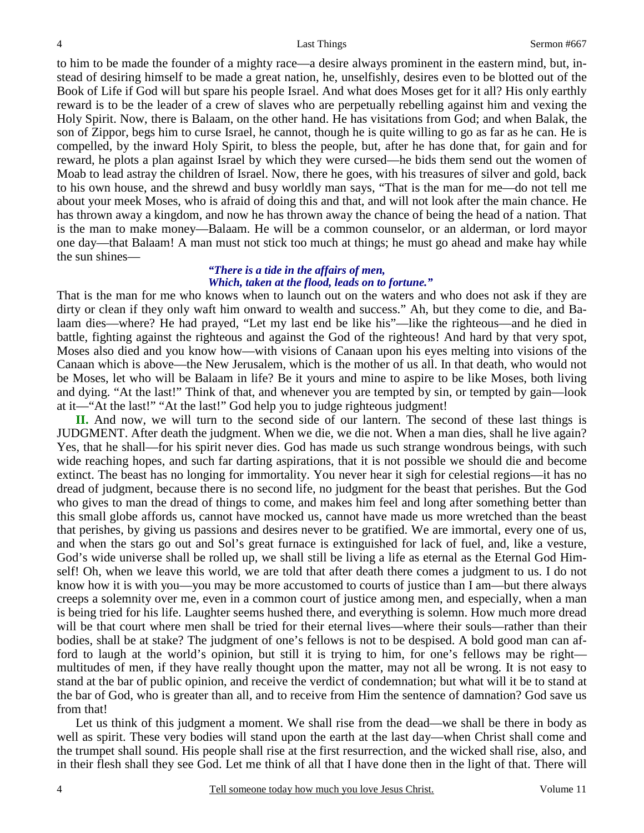to him to be made the founder of a mighty race—a desire always prominent in the eastern mind, but, instead of desiring himself to be made a great nation, he, unselfishly, desires even to be blotted out of the Book of Life if God will but spare his people Israel. And what does Moses get for it all? His only earthly reward is to be the leader of a crew of slaves who are perpetually rebelling against him and vexing the Holy Spirit. Now, there is Balaam, on the other hand. He has visitations from God; and when Balak, the son of Zippor, begs him to curse Israel, he cannot, though he is quite willing to go as far as he can. He is compelled, by the inward Holy Spirit, to bless the people, but, after he has done that, for gain and for reward, he plots a plan against Israel by which they were cursed—he bids them send out the women of Moab to lead astray the children of Israel. Now, there he goes, with his treasures of silver and gold, back to his own house, and the shrewd and busy worldly man says, "That is the man for me—do not tell me about your meek Moses, who is afraid of doing this and that, and will not look after the main chance. He has thrown away a kingdom, and now he has thrown away the chance of being the head of a nation. That is the man to make money—Balaam. He will be a common counselor, or an alderman, or lord mayor one day—that Balaam! A man must not stick too much at things; he must go ahead and make hay while the sun shines—

### *"There is a tide in the affairs of men, Which, taken at the flood, leads on to fortune."*

That is the man for me who knows when to launch out on the waters and who does not ask if they are dirty or clean if they only waft him onward to wealth and success." Ah, but they come to die, and Balaam dies—where? He had prayed, "Let my last end be like his"—like the righteous—and he died in battle, fighting against the righteous and against the God of the righteous! And hard by that very spot, Moses also died and you know how—with visions of Canaan upon his eyes melting into visions of the Canaan which is above—the New Jerusalem, which is the mother of us all. In that death, who would not be Moses, let who will be Balaam in life? Be it yours and mine to aspire to be like Moses, both living and dying. "At the last!" Think of that, and whenever you are tempted by sin, or tempted by gain—look at it—"At the last!" "At the last!" God help you to judge righteous judgment!

**II.** And now, we will turn to the second side of our lantern. The second of these last things is JUDGMENT. After death the judgment. When we die, we die not. When a man dies, shall he live again? Yes, that he shall—for his spirit never dies. God has made us such strange wondrous beings, with such wide reaching hopes, and such far darting aspirations, that it is not possible we should die and become extinct. The beast has no longing for immortality. You never hear it sigh for celestial regions—it has no dread of judgment, because there is no second life, no judgment for the beast that perishes. But the God who gives to man the dread of things to come, and makes him feel and long after something better than this small globe affords us, cannot have mocked us, cannot have made us more wretched than the beast that perishes, by giving us passions and desires never to be gratified. We are immortal, every one of us, and when the stars go out and Sol's great furnace is extinguished for lack of fuel, and, like a vesture, God's wide universe shall be rolled up, we shall still be living a life as eternal as the Eternal God Himself! Oh, when we leave this world, we are told that after death there comes a judgment to us. I do not know how it is with you—you may be more accustomed to courts of justice than I am—but there always creeps a solemnity over me, even in a common court of justice among men, and especially, when a man is being tried for his life. Laughter seems hushed there, and everything is solemn. How much more dread will be that court where men shall be tried for their eternal lives—where their souls—rather than their bodies, shall be at stake? The judgment of one's fellows is not to be despised. A bold good man can afford to laugh at the world's opinion, but still it is trying to him, for one's fellows may be right multitudes of men, if they have really thought upon the matter, may not all be wrong. It is not easy to stand at the bar of public opinion, and receive the verdict of condemnation; but what will it be to stand at the bar of God, who is greater than all, and to receive from Him the sentence of damnation? God save us from that!

 Let us think of this judgment a moment. We shall rise from the dead—we shall be there in body as well as spirit. These very bodies will stand upon the earth at the last day—when Christ shall come and the trumpet shall sound. His people shall rise at the first resurrection, and the wicked shall rise, also, and in their flesh shall they see God. Let me think of all that I have done then in the light of that. There will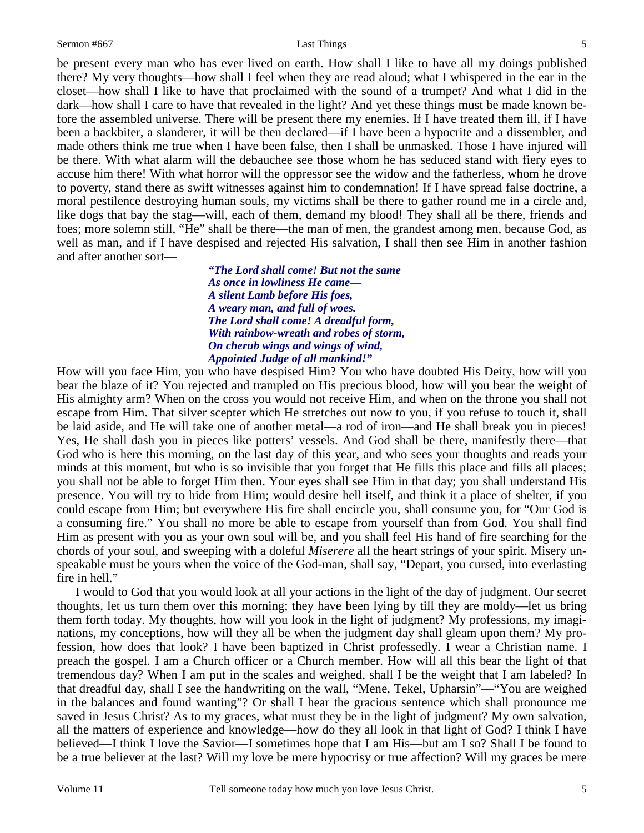be present every man who has ever lived on earth. How shall I like to have all my doings published there? My very thoughts—how shall I feel when they are read aloud; what I whispered in the ear in the closet—how shall I like to have that proclaimed with the sound of a trumpet? And what I did in the dark—how shall I care to have that revealed in the light? And yet these things must be made known before the assembled universe. There will be present there my enemies. If I have treated them ill, if I have been a backbiter, a slanderer, it will be then declared—if I have been a hypocrite and a dissembler, and made others think me true when I have been false, then I shall be unmasked. Those I have injured will be there. With what alarm will the debauchee see those whom he has seduced stand with fiery eyes to accuse him there! With what horror will the oppressor see the widow and the fatherless, whom he drove to poverty, stand there as swift witnesses against him to condemnation! If I have spread false doctrine, a moral pestilence destroying human souls, my victims shall be there to gather round me in a circle and, like dogs that bay the stag—will, each of them, demand my blood! They shall all be there, friends and foes; more solemn still, "He" shall be there—the man of men, the grandest among men, because God, as well as man, and if I have despised and rejected His salvation, I shall then see Him in another fashion and after another sort—

> *"The Lord shall come! But not the same As once in lowliness He came— A silent Lamb before His foes, A weary man, and full of woes. The Lord shall come! A dreadful form, With rainbow-wreath and robes of storm, On cherub wings and wings of wind, Appointed Judge of all mankind!"*

How will you face Him, you who have despised Him? You who have doubted His Deity, how will you bear the blaze of it? You rejected and trampled on His precious blood, how will you bear the weight of His almighty arm? When on the cross you would not receive Him, and when on the throne you shall not escape from Him. That silver scepter which He stretches out now to you, if you refuse to touch it, shall be laid aside, and He will take one of another metal—a rod of iron—and He shall break you in pieces! Yes, He shall dash you in pieces like potters' vessels. And God shall be there, manifestly there—that God who is here this morning, on the last day of this year, and who sees your thoughts and reads your minds at this moment, but who is so invisible that you forget that He fills this place and fills all places; you shall not be able to forget Him then. Your eyes shall see Him in that day; you shall understand His presence. You will try to hide from Him; would desire hell itself, and think it a place of shelter, if you could escape from Him; but everywhere His fire shall encircle you, shall consume you, for "Our God is a consuming fire." You shall no more be able to escape from yourself than from God. You shall find Him as present with you as your own soul will be, and you shall feel His hand of fire searching for the chords of your soul, and sweeping with a doleful *Miserere* all the heart strings of your spirit. Misery unspeakable must be yours when the voice of the God-man, shall say, "Depart, you cursed, into everlasting fire in hell."

 I would to God that you would look at all your actions in the light of the day of judgment. Our secret thoughts, let us turn them over this morning; they have been lying by till they are moldy—let us bring them forth today. My thoughts, how will you look in the light of judgment? My professions, my imaginations, my conceptions, how will they all be when the judgment day shall gleam upon them? My profession, how does that look? I have been baptized in Christ professedly. I wear a Christian name. I preach the gospel. I am a Church officer or a Church member. How will all this bear the light of that tremendous day? When I am put in the scales and weighed, shall I be the weight that I am labeled? In that dreadful day, shall I see the handwriting on the wall, "Mene, Tekel, Upharsin"—"You are weighed in the balances and found wanting"? Or shall I hear the gracious sentence which shall pronounce me saved in Jesus Christ? As to my graces, what must they be in the light of judgment? My own salvation, all the matters of experience and knowledge—how do they all look in that light of God? I think I have believed—I think I love the Savior—I sometimes hope that I am His—but am I so? Shall I be found to be a true believer at the last? Will my love be mere hypocrisy or true affection? Will my graces be mere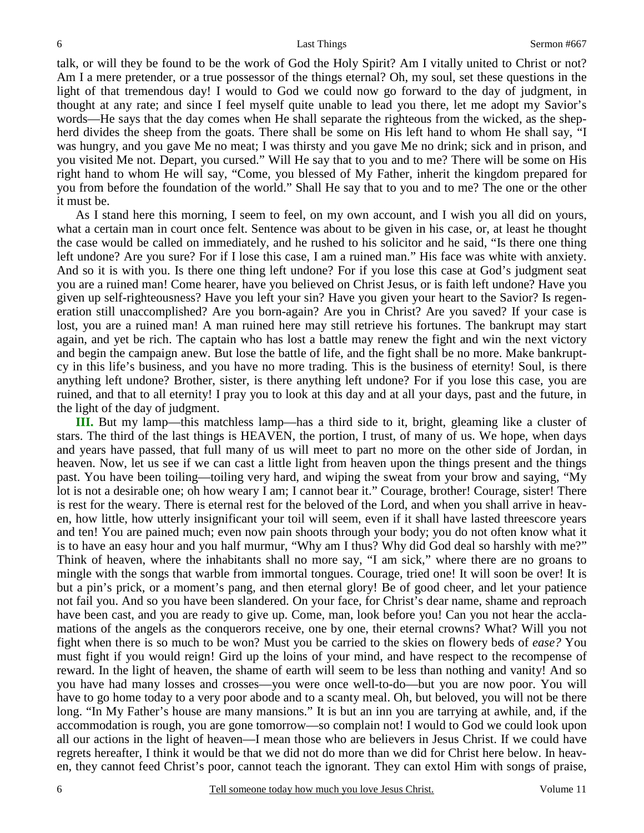talk, or will they be found to be the work of God the Holy Spirit? Am I vitally united to Christ or not? Am I a mere pretender, or a true possessor of the things eternal? Oh, my soul, set these questions in the light of that tremendous day! I would to God we could now go forward to the day of judgment, in thought at any rate; and since I feel myself quite unable to lead you there, let me adopt my Savior's words—He says that the day comes when He shall separate the righteous from the wicked, as the shepherd divides the sheep from the goats. There shall be some on His left hand to whom He shall say, "I was hungry, and you gave Me no meat; I was thirsty and you gave Me no drink; sick and in prison, and you visited Me not. Depart, you cursed." Will He say that to you and to me? There will be some on His right hand to whom He will say, "Come, you blessed of My Father, inherit the kingdom prepared for you from before the foundation of the world." Shall He say that to you and to me? The one or the other it must be.

 As I stand here this morning, I seem to feel, on my own account, and I wish you all did on yours, what a certain man in court once felt. Sentence was about to be given in his case, or, at least he thought the case would be called on immediately, and he rushed to his solicitor and he said, "Is there one thing left undone? Are you sure? For if I lose this case, I am a ruined man." His face was white with anxiety. And so it is with you. Is there one thing left undone? For if you lose this case at God's judgment seat you are a ruined man! Come hearer, have you believed on Christ Jesus, or is faith left undone? Have you given up self-righteousness? Have you left your sin? Have you given your heart to the Savior? Is regeneration still unaccomplished? Are you born-again? Are you in Christ? Are you saved? If your case is lost, you are a ruined man! A man ruined here may still retrieve his fortunes. The bankrupt may start again, and yet be rich. The captain who has lost a battle may renew the fight and win the next victory and begin the campaign anew. But lose the battle of life, and the fight shall be no more. Make bankruptcy in this life's business, and you have no more trading. This is the business of eternity! Soul, is there anything left undone? Brother, sister, is there anything left undone? For if you lose this case, you are ruined, and that to all eternity! I pray you to look at this day and at all your days, past and the future, in the light of the day of judgment.

**III.** But my lamp—this matchless lamp—has a third side to it, bright, gleaming like a cluster of stars. The third of the last things is HEAVEN, the portion, I trust, of many of us. We hope, when days and years have passed, that full many of us will meet to part no more on the other side of Jordan, in heaven. Now, let us see if we can cast a little light from heaven upon the things present and the things past. You have been toiling—toiling very hard, and wiping the sweat from your brow and saying, "My lot is not a desirable one; oh how weary I am; I cannot bear it." Courage, brother! Courage, sister! There is rest for the weary. There is eternal rest for the beloved of the Lord, and when you shall arrive in heaven, how little, how utterly insignificant your toil will seem, even if it shall have lasted threescore years and ten! You are pained much; even now pain shoots through your body; you do not often know what it is to have an easy hour and you half murmur, "Why am I thus? Why did God deal so harshly with me?" Think of heaven, where the inhabitants shall no more say, "I am sick," where there are no groans to mingle with the songs that warble from immortal tongues. Courage, tried one! It will soon be over! It is but a pin's prick, or a moment's pang, and then eternal glory! Be of good cheer, and let your patience not fail you. And so you have been slandered. On your face, for Christ's dear name, shame and reproach have been cast, and you are ready to give up. Come, man, look before you! Can you not hear the acclamations of the angels as the conquerors receive, one by one, their eternal crowns? What? Will you not fight when there is so much to be won? Must you be carried to the skies on flowery beds of *ease?* You must fight if you would reign! Gird up the loins of your mind, and have respect to the recompense of reward. In the light of heaven, the shame of earth will seem to be less than nothing and vanity! And so you have had many losses and crosses—you were once well-to-do—but you are now poor. You will have to go home today to a very poor abode and to a scanty meal. Oh, but beloved, you will not be there long. "In My Father's house are many mansions." It is but an inn you are tarrying at awhile, and, if the accommodation is rough, you are gone tomorrow—so complain not! I would to God we could look upon all our actions in the light of heaven—I mean those who are believers in Jesus Christ. If we could have regrets hereafter, I think it would be that we did not do more than we did for Christ here below. In heaven, they cannot feed Christ's poor, cannot teach the ignorant. They can extol Him with songs of praise,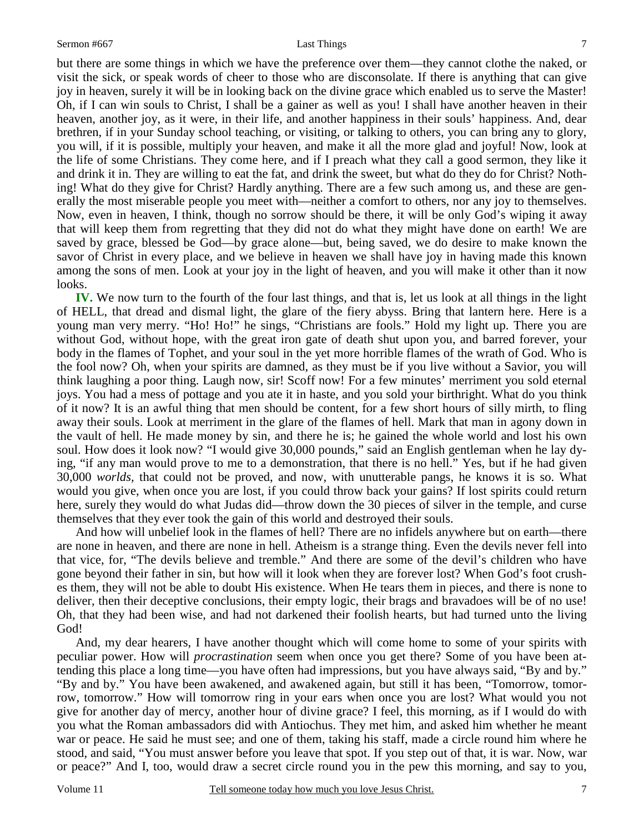7

but there are some things in which we have the preference over them—they cannot clothe the naked, or visit the sick, or speak words of cheer to those who are disconsolate. If there is anything that can give joy in heaven, surely it will be in looking back on the divine grace which enabled us to serve the Master! Oh, if I can win souls to Christ, I shall be a gainer as well as you! I shall have another heaven in their heaven, another joy, as it were, in their life, and another happiness in their souls' happiness. And, dear brethren, if in your Sunday school teaching, or visiting, or talking to others, you can bring any to glory, you will, if it is possible, multiply your heaven, and make it all the more glad and joyful! Now, look at the life of some Christians. They come here, and if I preach what they call a good sermon, they like it and drink it in. They are willing to eat the fat, and drink the sweet, but what do they do for Christ? Nothing! What do they give for Christ? Hardly anything. There are a few such among us, and these are generally the most miserable people you meet with—neither a comfort to others, nor any joy to themselves. Now, even in heaven, I think, though no sorrow should be there, it will be only God's wiping it away that will keep them from regretting that they did not do what they might have done on earth! We are saved by grace, blessed be God—by grace alone—but, being saved, we do desire to make known the savor of Christ in every place, and we believe in heaven we shall have joy in having made this known among the sons of men. Look at your joy in the light of heaven, and you will make it other than it now looks.

**IV.** We now turn to the fourth of the four last things, and that is, let us look at all things in the light of HELL, that dread and dismal light, the glare of the fiery abyss. Bring that lantern here. Here is a young man very merry. "Ho! Ho!" he sings, "Christians are fools." Hold my light up. There you are without God, without hope, with the great iron gate of death shut upon you, and barred forever, your body in the flames of Tophet, and your soul in the yet more horrible flames of the wrath of God. Who is the fool now? Oh, when your spirits are damned, as they must be if you live without a Savior, you will think laughing a poor thing. Laugh now, sir! Scoff now! For a few minutes' merriment you sold eternal joys. You had a mess of pottage and you ate it in haste, and you sold your birthright. What do you think of it now? It is an awful thing that men should be content, for a few short hours of silly mirth, to fling away their souls. Look at merriment in the glare of the flames of hell. Mark that man in agony down in the vault of hell. He made money by sin, and there he is; he gained the whole world and lost his own soul. How does it look now? "I would give 30,000 pounds," said an English gentleman when he lay dying, "if any man would prove to me to a demonstration, that there is no hell." Yes, but if he had given 30,000 *worlds,* that could not be proved, and now, with unutterable pangs, he knows it is so. What would you give, when once you are lost, if you could throw back your gains? If lost spirits could return here, surely they would do what Judas did—throw down the 30 pieces of silver in the temple, and curse themselves that they ever took the gain of this world and destroyed their souls.

 And how will unbelief look in the flames of hell? There are no infidels anywhere but on earth—there are none in heaven, and there are none in hell. Atheism is a strange thing. Even the devils never fell into that vice, for, "The devils believe and tremble." And there are some of the devil's children who have gone beyond their father in sin, but how will it look when they are forever lost? When God's foot crushes them, they will not be able to doubt His existence. When He tears them in pieces, and there is none to deliver, then their deceptive conclusions, their empty logic, their brags and bravadoes will be of no use! Oh, that they had been wise, and had not darkened their foolish hearts, but had turned unto the living God!

 And, my dear hearers, I have another thought which will come home to some of your spirits with peculiar power. How will *procrastination* seem when once you get there? Some of you have been attending this place a long time—you have often had impressions, but you have always said, "By and by." "By and by." You have been awakened, and awakened again, but still it has been, "Tomorrow, tomorrow, tomorrow." How will tomorrow ring in your ears when once you are lost? What would you not give for another day of mercy, another hour of divine grace? I feel, this morning, as if I would do with you what the Roman ambassadors did with Antiochus. They met him, and asked him whether he meant war or peace. He said he must see; and one of them, taking his staff, made a circle round him where he stood, and said, "You must answer before you leave that spot. If you step out of that, it is war. Now, war or peace?" And I, too, would draw a secret circle round you in the pew this morning, and say to you,